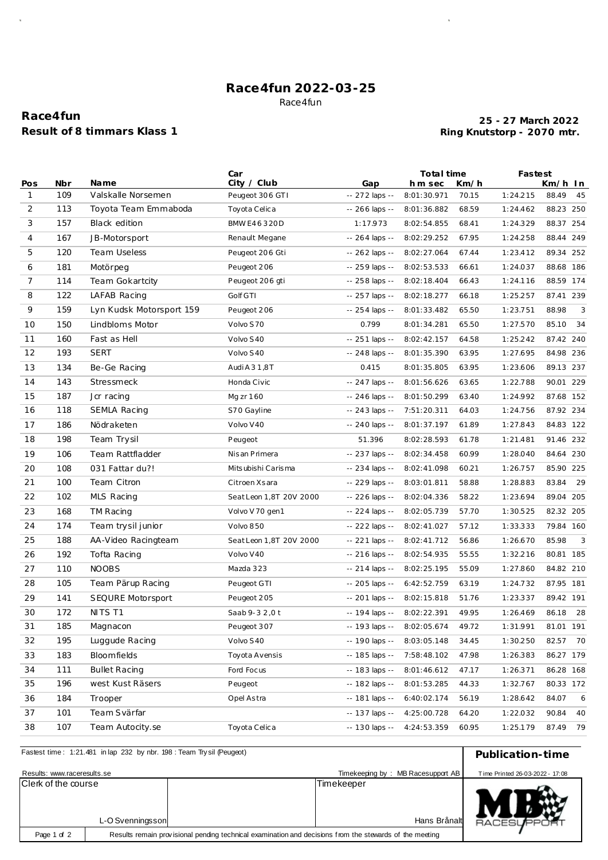## **Race4fun 2022-03-25** Race4fun

# **Race4fun Result of 8 timmars Klass 1**

### **Ring Knutstorp - 2070 mtr. 25 - 27 March 2022**

 $\bar{\beta}$ 

|              |     |                          | Car                     |                  | Total time  |       |          | Fastest      |  |
|--------------|-----|--------------------------|-------------------------|------------------|-------------|-------|----------|--------------|--|
| Pos          | Nbr | <b>Name</b>              | City / Club             | Gap              | hm sec      | Km/h  |          | Km/h In      |  |
| $\mathbf{1}$ | 109 | Valskalle Norsemen       | Peugeot 306 GTI         | -- 272 laps --   | 8:01:30.971 | 70.15 | 1:24.215 | 88.49<br>45  |  |
| 2            | 113 | Toyota Team Emmaboda     | Toyota Celica           | -- 266 laps --   | 8:01:36.882 | 68.59 | 1:24.462 | 88.23 250    |  |
| 3            | 157 | Black edition            | BMW E46320D             | 1:17.973         | 8:02:54.855 | 68.41 | 1:24.329 | 88.37 254    |  |
| 4            | 167 | JB-Motorsport            | Renault Megane          | $-264$ laps $-$  | 8:02:29.252 | 67.95 | 1:24.258 | 88.44 249    |  |
| 5            | 120 | <b>Team Useless</b>      | Peugeot 206 Gti         | $-262$ laps $-$  | 8:02:27.064 | 67.44 | 1:23.412 | 89.34 252    |  |
| 6            | 181 | Motörpeg                 | Peugeot 206             | -- 259 laps --   | 8:02:53.533 | 66.61 | 1:24.037 | 88.68 186    |  |
| 7            | 114 | Team Gokartcity          | Peugeot 206 gti         | -- 258 laps --   | 8:02:18.404 | 66.43 | 1:24.116 | 88.59 174    |  |
| 8            | 122 | LAFAB Racing             | Golf GTI                | -- 257 laps --   | 8:02:18.277 | 66.18 | 1:25.257 | 87.41 239    |  |
| 9            | 159 | Lyn Kudsk Motorsport 159 | Peugeot 206             | $-254$ laps $-$  | 8:01:33.482 | 65.50 | 1:23.751 | 3<br>88.98   |  |
| 10           | 150 | Lindbloms Motor          | Volvo S70               | 0.799            | 8:01:34.281 | 65.50 | 1:27.570 | 85.10<br>34  |  |
| 11           | 160 | Fast as Hell             | Volvo S40               | $-251$ laps $-$  | 8:02:42.157 | 64.58 | 1:25.242 | 87.42 240    |  |
| 12           | 193 | <b>SERT</b>              | Volvo S40               | -- 248 laps --   | 8:01:35.390 | 63.95 | 1:27.695 | 84.98 236    |  |
| 13           | 134 | Be-Ge Racing             | Audi A 3 1,8T           | 0.415            | 8:01:35.805 | 63.95 | 1:23.606 | 89.13 237    |  |
| 14           | 143 | Stressmeck               | Honda Civic             | -- 247 laps --   | 8:01:56.626 | 63.65 | 1:22.788 | 90.01 229    |  |
| 15           | 187 | Jcr racing               | Mg zr 160               | -- 246 laps --   | 8:01:50.299 | 63.40 | 1:24.992 | 87.68 152    |  |
| 16           | 118 | SEMLA Racing             | S70 Gayline             | $-243$ laps $-$  | 7:51:20.311 | 64.03 | 1:24.756 | 87.92 234    |  |
| 17           | 186 | Nödraketen               | Volvo V40               | $-240$ laps $-$  | 8:01:37.197 | 61.89 | 1:27.843 | 84.83 122    |  |
| 18           | 198 | Team Trysil              | Peugeot                 | 51.396           | 8:02:28.593 | 61.78 | 1:21.481 | 91.46 232    |  |
| 19           | 106 | Team Rattfladder         | Nisan Primera           | -- 237 laps --   | 8:02:34.458 | 60.99 | 1:28.040 | 84.64 230    |  |
| 20           | 108 | 031 Fattar du?!          | Mits ubishi Carisma     | -- 234 laps --   | 8:02:41.098 | 60.21 | 1:26.757 | 85.90 225    |  |
| 21           | 100 | Team Citron              | Citroen Xsara           | -- 229 laps --   | 8:03:01.811 | 58.88 | 1:28.883 | 83.84<br>29  |  |
| 22           | 102 | MLS Racing               | Seat Leon 1,8T 20V 2000 | -- 226 laps --   | 8:02:04.336 | 58.22 | 1:23.694 | 89.04<br>205 |  |
| 23           | 168 | TM Racing                | Volvo V 70 gen1         | -- 224 laps --   | 8:02:05.739 | 57.70 | 1:30.525 | 82.32 205    |  |
| 24           | 174 | Team trysil junior       | Volvo 850               | -- 222 laps --   | 8:02:41.027 | 57.12 | 1:33.333 | 79.84 160    |  |
| 25           | 188 | AA-Video Racingteam      | Seat Leon 1,8T 20V 2000 | -- 221 laps --   | 8:02:41.712 | 56.86 | 1:26.670 | 85.98<br>3   |  |
| 26           | 192 | Tofta Racing             | Volvo V40               | $-216$ laps $-$  | 8:02:54.935 | 55.55 | 1:32.216 | 80.81 185    |  |
| 27           | 110 | <b>NOOBS</b>             | Mazda 323               | $-214$ laps $-$  | 8:02:25.195 | 55.09 | 1:27.860 | 84.82 210    |  |
| 28           | 105 | Team Pärup Racing        | Peugeot GTI             | -- 205 laps --   | 6:42:52.759 | 63.19 | 1:24.732 | 87.95 181    |  |
| 29           | 141 | SEQURE Motorsport        | Peugeot 205             | -- 201 laps --   | 8:02:15.818 | 51.76 | 1:23.337 | 89.42 191    |  |
| 30           | 172 | NITS T1                  | Saab 9-3 2,0 t          | -- 194 laps --   | 8:02:22.391 | 49.95 | 1:26.469 | 86.18 28     |  |
| 31           | 185 | Magnacon                 | Peugeot 307             | -- 193 laps --   | 8:02:05.674 | 49.72 | 1:31.991 | 81.01 191    |  |
| 32           | 195 | Luggude Racing           | Volvo S40               | -- 190 laps --   | 8:03:05.148 | 34.45 | 1:30.250 | 82.57<br>70  |  |
| 33           | 183 | Bloomfields              | Toyota Avensis          | -- 185 laps --   | 7:58:48.102 | 47.98 | 1:26.383 | 86.27 179    |  |
| 34           | 111 | <b>Bullet Racing</b>     | Ford Focus              | $- 183$ laps $-$ | 8:01:46.612 | 47.17 | 1:26.371 | 86.28 168    |  |
| 35           | 196 | west Kust Räsers         | Peugeot                 | -- 182 laps --   | 8:01:53.285 | 44.33 | 1:32.767 | 80.33 172    |  |
| 36           | 184 | Trooper                  | Opel Astra              | -- 181 laps --   | 6:40:02.174 | 56.19 | 1:28.642 | 84.07<br>6   |  |
| 37           | 101 | Team Svärfar             |                         | -- 137 laps --   | 4:25:00.728 | 64.20 | 1:22.032 | 90.84<br>40  |  |
| 38           | 107 | Team Autocity.se         | Toyota Celica           | -- 130 laps --   | 4:24:53.359 | 60.95 | 1:25.179 | 87.49<br>79  |  |
|              |     |                          |                         |                  |             |       |          |              |  |

| Fastest time: 1:21.481 in lap 232 by nbr. 198 : Team Trysil (Peugeot)                                                  | Publication-time |  |                                   |                                 |
|------------------------------------------------------------------------------------------------------------------------|------------------|--|-----------------------------------|---------------------------------|
| Results: www.raceresults.se                                                                                            |                  |  | Timekeeping by: MB Racesupport AB | Time Printed 26-03-2022 - 17:08 |
| Clerk of the course<br>L-O Svenningsson                                                                                |                  |  | Timekeeper<br>Hans Brånalt        | <b>RACESUPPORT</b>              |
| Results remain provisional pending technical examination and decisions from the stewards of the meeting<br>Page 1 of 2 |                  |  |                                   |                                 |